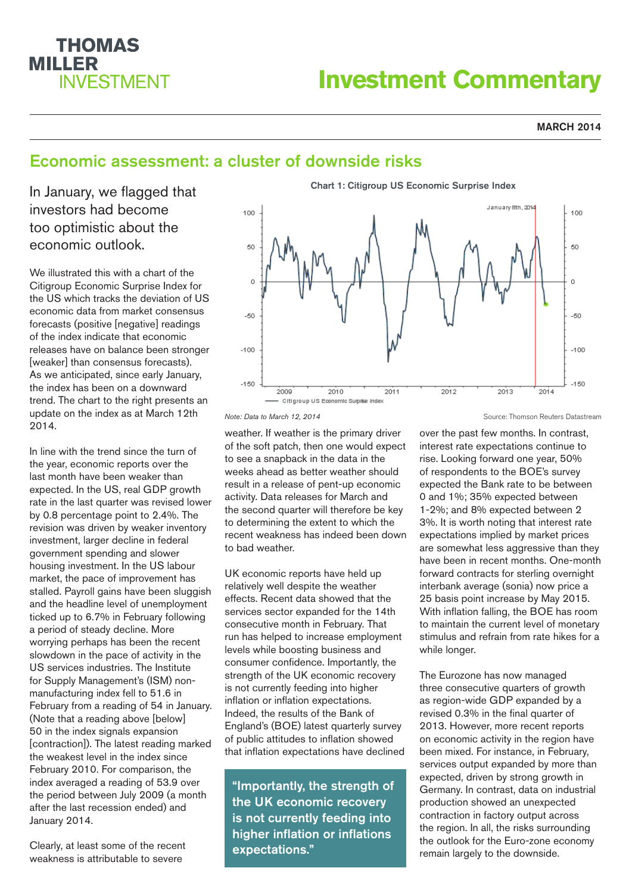# **THOMAS MILLER INVESTMENT**

# **Investment Commentary**

### **MARCH 2014**

# Economic assessment: a cluster of downside risks

In January, we flagged that investors had become too optimistic about the economic outlook.

We illustrated this with a chart of the Citigroup Economic Surprise Index for the US which tracks the deviation of US economic data from market consensus forecasts (positive [negative] readings of the index indicate that economic releases have on balance been stronger [weaker] than consensus forecasts). As we anticipated, since early January, the index has been on a downward trend. The chart to the right presents an update on the index as at March 12th 2014.

In line with the trend since the turn of the year, economic reports over the last month have been weaker than expected. In the US, real GDP growth rate in the last quarter was revised lower by 0.8 percentage point to 2.4%. The revision was driven by weaker inventory investment, larger decline in federal government spending and slower housing investment. In the US labour market, the pace of improvement has stalled. Payroll gains have been sluggish and the headline level of unemployment ticked up to 6.7% in February following a period of steady decline. More worrying perhaps has been the recent slowdown in the pace of activity in the US services industries. The Institute for Supply Management's (ISM) nonmanufacturing index fell to 51.6 in February from a reading of 54 in January. (Note that a reading above [below] 50 in the index signals expansion [contraction]). The latest reading marked the weakest level in the index since February 2010. For comparison, the index averaged a reading of 53.9 over the period between July 2009 (a month after the last recession ended) and January 2014.

Clearly, at least some of the recent weakness is attributable to severe



*Note: Data to March 12, 2014*

weather. If weather is the primary driver of the soft patch, then one would expect to see a snapback in the data in the weeks ahead as better weather should result in a release of pent-up economic activity. Data releases for March and the second quarter will therefore be key to determining the extent to which the recent weakness has indeed been down to bad weather.

UK economic reports have held up relatively well despite the weather effects. Recent data showed that the services sector expanded for the 14th consecutive month in February. That run has helped to increase employment levels while boosting business and consumer confidence. Importantly, the strength of the UK economic recovery is not currently feeding into higher inflation or inflation expectations. Indeed, the results of the Bank of England's (BOE) latest quarterly survey of public attitudes to inflation showed that inflation expectations have declined

"Importantly, the strength of the UK economic recovery is not currently feeding into higher inflation or inflations expectations."

Source: Thomson Reuters Datastream

over the past few months. In contrast, interest rate expectations continue to rise. Looking forward one year, 50% of respondents to the BOE's survey expected the Bank rate to be between 0 and 1%; 35% expected between 1-2%; and 8% expected between 2 3%. It is worth noting that interest rate expectations implied by market prices are somewhat less aggressive than they have been in recent months. One-month forward contracts for sterling overnight interbank average (sonia) now price a 25 basis point increase by May 2015. With inflation falling, the BOE has room to maintain the current level of monetary stimulus and refrain from rate hikes for a while longer.

The Eurozone has now managed three consecutive quarters of growth as region-wide GDP expanded by a revised 0.3% in the final quarter of 2013. However, more recent reports on economic activity in the region have been mixed. For instance, in February, services output expanded by more than expected, driven by strong growth in Germany. In contrast, data on industrial production showed an unexpected contraction in factory output across the region. In all, the risks surrounding the outlook for the Euro-zone economy remain largely to the downside.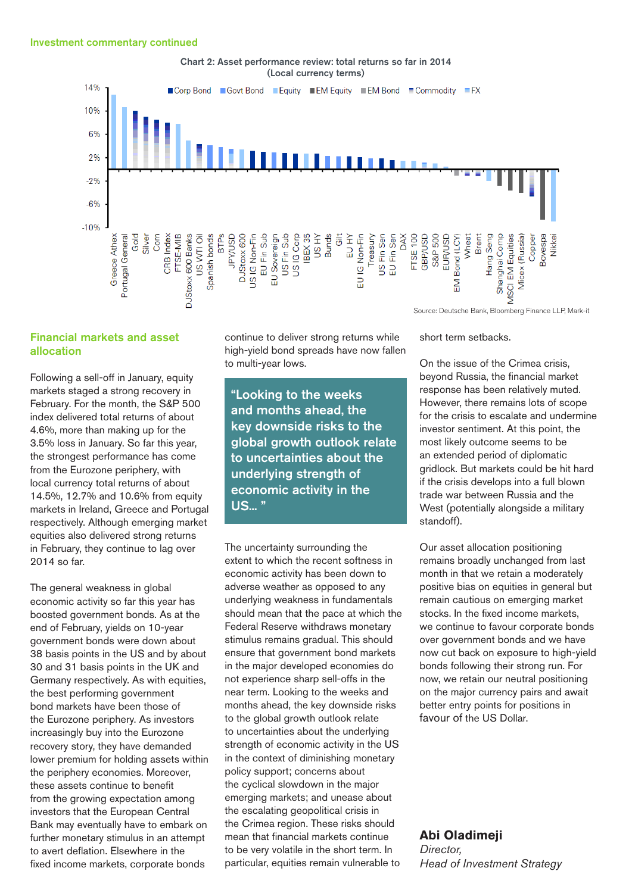

Chart 2: Asset performance review: total returns so far in 2014

## Financial markets and asset allocation

Following a sell-off in January, equity markets staged a strong recovery in February. For the month, the S&P 500 index delivered total returns of about 4.6%, more than making up for the 3.5% loss in January. So far this year, the strongest performance has come from the Eurozone periphery, with local currency total returns of about 14.5%, 12.7% and 10.6% from equity markets in Ireland, Greece and Portugal respectively. Although emerging market equities also delivered strong returns in February, they continue to lag over 2014 so far.

The general weakness in global economic activity so far this year has boosted government bonds. As at the end of February, yields on 10-year government bonds were down about 38 basis points in the US and by about 30 and 31 basis points in the UK and Germany respectively. As with equities, the best performing government bond markets have been those of the Eurozone periphery. As investors increasingly buy into the Eurozone recovery story, they have demanded lower premium for holding assets within the periphery economies. Moreover, these assets continue to benefit from the growing expectation among investors that the European Central Bank may eventually have to embark on further monetary stimulus in an attempt to avert deflation. Elsewhere in the fixed income markets, corporate bonds

continue to deliver strong returns while high-yield bond spreads have now fallen to multi-year lows.

"Looking to the weeks and months ahead, the key downside risks to the global growth outlook relate to uncertainties about the underlying strength of economic activity in the US... "

The uncertainty surrounding the extent to which the recent softness in economic activity has been down to adverse weather as opposed to any underlying weakness in fundamentals should mean that the pace at which the Federal Reserve withdraws monetary stimulus remains gradual. This should ensure that government bond markets in the major developed economies do not experience sharp sell-offs in the near term. Looking to the weeks and months ahead, the key downside risks to the global growth outlook relate to uncertainties about the underlying strength of economic activity in the US in the context of diminishing monetary policy support; concerns about the cyclical slowdown in the major emerging markets; and unease about the escalating geopolitical crisis in the Crimea region. These risks should mean that financial markets continue to be very volatile in the short term. In particular, equities remain vulnerable to

Source: Deutsche Bank, Bloomberg Finance LLP, Mark-it

short term setbacks.

On the issue of the Crimea crisis, beyond Russia, the financial market response has been relatively muted. However, there remains lots of scope for the crisis to escalate and undermine investor sentiment. At this point, the most likely outcome seems to be an extended period of diplomatic gridlock. But markets could be hit hard if the crisis develops into a full blown trade war between Russia and the West (potentially alongside a military standoff).

Our asset allocation positioning remains broadly unchanged from last month in that we retain a moderately positive bias on equities in general but remain cautious on emerging market stocks. In the fixed income markets, we continue to favour corporate bonds over government bonds and we have now cut back on exposure to high-yield bonds following their strong run. For now, we retain our neutral positioning on the major currency pairs and await better entry points for positions in favour of the US Dollar.

# **Abi Oladimeji**

*Director, Head of Investment Strategy*